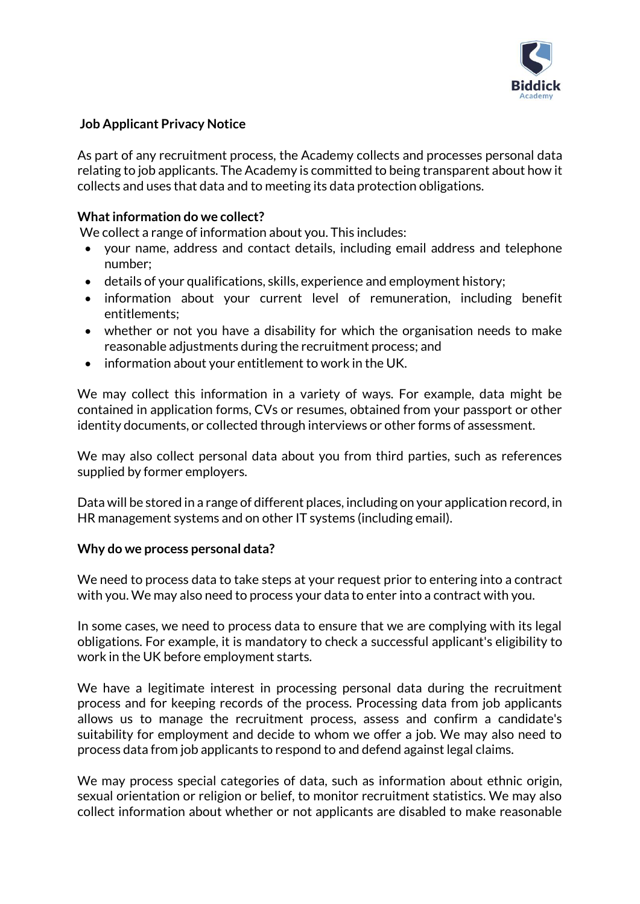

# **Job Applicant Privacy Notice**

As part of any recruitment process, the Academy collects and processes personal data relating to job applicants. The Academy is committed to being transparent about how it collects and uses that data and to meeting its data protection obligations.

## **What information do we collect?**

We collect a range of information about you. This includes:

- your name, address and contact details, including email address and telephone number;
- details of your qualifications, skills, experience and employment history;
- information about your current level of remuneration, including benefit entitlements;
- whether or not you have a disability for which the organisation needs to make reasonable adjustments during the recruitment process; and
- information about your entitlement to work in the UK.

We may collect this information in a variety of ways. For example, data might be contained in application forms, CVs or resumes, obtained from your passport or other identity documents, or collected through interviews or other forms of assessment.

We may also collect personal data about you from third parties, such as references supplied by former employers.

Data will be stored in a range of different places, including on your application record, in HR management systems and on other IT systems (including email).

#### **Why do we process personal data?**

We need to process data to take steps at your request prior to entering into a contract with you. We may also need to process your data to enter into a contract with you.

In some cases, we need to process data to ensure that we are complying with its legal obligations. For example, it is mandatory to check a successful applicant's eligibility to work in the UK before employment starts.

We have a legitimate interest in processing personal data during the recruitment process and for keeping records of the process. Processing data from job applicants allows us to manage the recruitment process, assess and confirm a candidate's suitability for employment and decide to whom we offer a job. We may also need to process data from job applicants to respond to and defend against legal claims.

We may process special categories of data, such as information about ethnic origin, sexual orientation or religion or belief, to monitor recruitment statistics. We may also collect information about whether or not applicants are disabled to make reasonable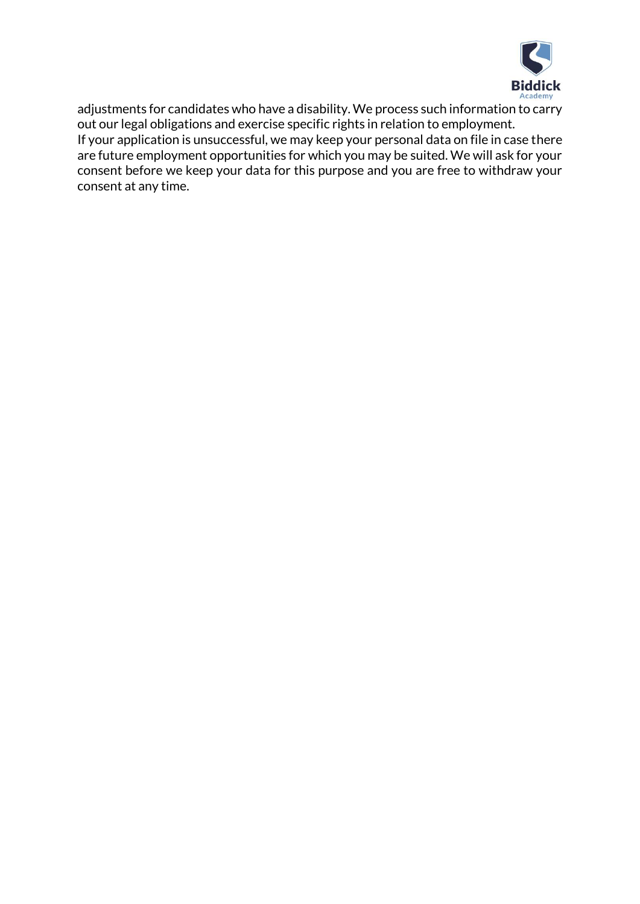

adjustments for candidates who have a disability. We process such information to carry out our legal obligations and exercise specific rights in relation to employment. If your application is unsuccessful, we may keep your personal data on file in case there are future employment opportunities for which you may be suited. We will ask for your consent before we keep your data for this purpose and you are free to withdraw your consent at any time.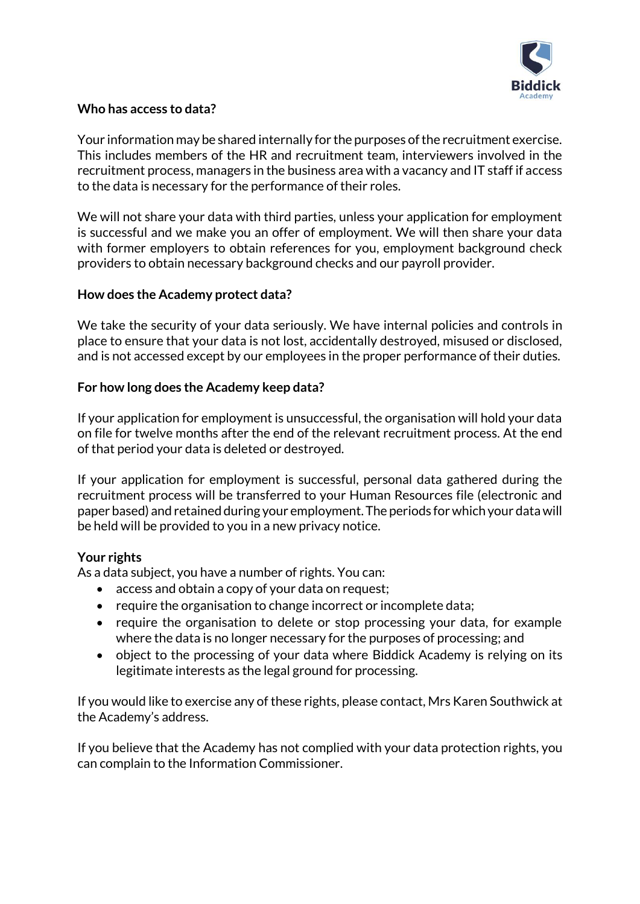

# **Who has access to data?**

Your information may be shared internally for the purposes of the recruitment exercise. This includes members of the HR and recruitment team, interviewers involved in the recruitment process, managers in the business area with a vacancy and IT staff if access to the data is necessary for the performance of their roles.

We will not share your data with third parties, unless your application for employment is successful and we make you an offer of employment. We will then share your data with former employers to obtain references for you, employment background check providers to obtain necessary background checks and our payroll provider.

## **How does the Academy protect data?**

We take the security of your data seriously. We have internal policies and controls in place to ensure that your data is not lost, accidentally destroyed, misused or disclosed, and is not accessed except by our employees in the proper performance of their duties.

## **For how long does the Academy keep data?**

If your application for employment is unsuccessful, the organisation will hold your data on file for twelve months after the end of the relevant recruitment process. At the end of that period your data is deleted or destroyed.

If your application for employment is successful, personal data gathered during the recruitment process will be transferred to your Human Resources file (electronic and paper based) and retained during your employment. The periods for which your data will be held will be provided to you in a new privacy notice.

#### **Your rights**

As a data subject, you have a number of rights. You can:

- access and obtain a copy of your data on request;
- require the organisation to change incorrect or incomplete data;
- require the organisation to delete or stop processing your data, for example where the data is no longer necessary for the purposes of processing; and
- object to the processing of your data where Biddick Academy is relying on its legitimate interests as the legal ground for processing.

If you would like to exercise any of these rights, please contact, Mrs Karen Southwick at the Academy's address.

If you believe that the Academy has not complied with your data protection rights, you can complain to the Information Commissioner.